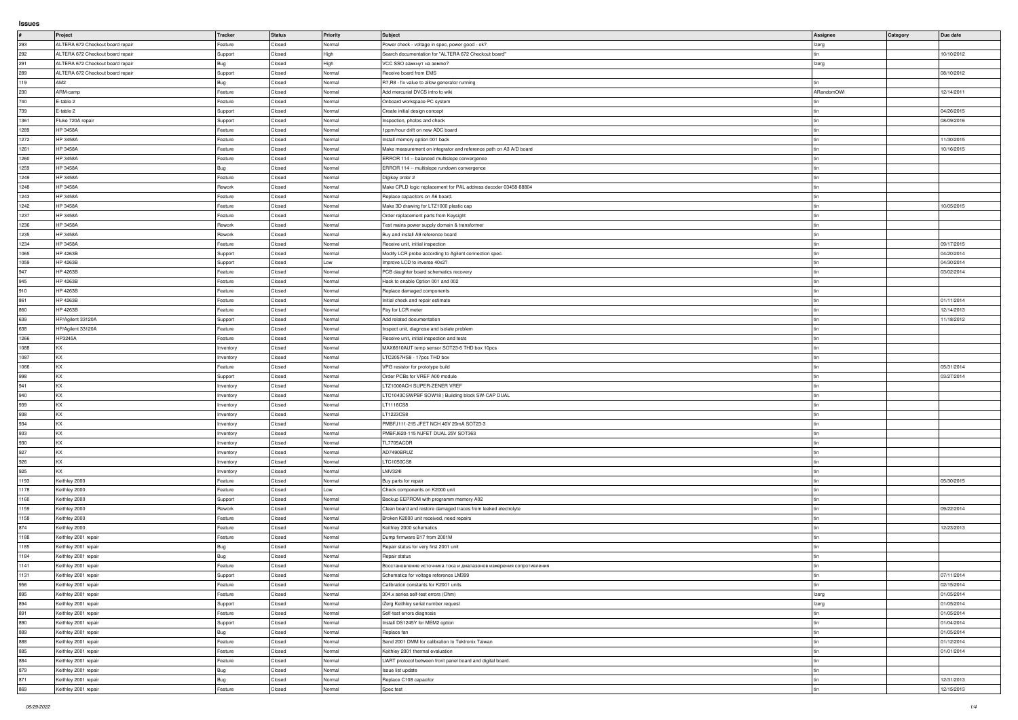**Issues**

|               | Project                          | Tracker   | Status | Priority | Subject                                                            | Assignee   | <b>Category</b> | Due date   |
|---------------|----------------------------------|-----------|--------|----------|--------------------------------------------------------------------|------------|-----------------|------------|
|               |                                  |           |        |          |                                                                    |            |                 |            |
| 293           | ALTERA 672 Checkout board repair | Feature   | Closed | Normal   | Power check - voltage in spec, power good - ok?                    | Izerg      |                 |            |
| 292           | ALTERA 672 Checkout board repair | Support   | Closed | High     | Search documentation for "ALTERA 672 Checkout board"               |            |                 | 10/10/2012 |
| 291           | ALTERA 672 Checkout board repair | Bug       | Closed | High     | VCC SSO замкнут на землю?                                          | Izerg      |                 |            |
| 289           | ALTERA 672 Checkout board repair | Support   | Closed | Normal   | Receive board from EMS                                             |            |                 | 08/10/2012 |
| 119           | AM <sub>2</sub>                  | Bug       | Closed | Normal   | R7, R8 - fix value to allow generator running                      |            |                 |            |
| 230           | ARM-camp                         | Feature   | Closed | Normal   | Add mercurial DVCS intro to wiki                                   | ARandomOWI |                 | 12/14/2011 |
| 740           | E-table 2                        | Feature   | Closed | Normal   | Onboard workspace PC system                                        |            |                 |            |
|               |                                  |           |        |          |                                                                    |            |                 |            |
| 739           | E-table 2                        | Support   | Closed | Normal   | Create initial design concept                                      |            |                 | 04/26/2015 |
| 1361          | Fluke 720A repair                | Support   | Closed | Normal   | Inspection, photos and check                                       |            |                 | 08/09/2016 |
| 1289          | HP 3458A                         | Feature   | Closed | Normal   | 1ppm/hour drift on new ADC board                                   |            |                 |            |
| 1272          | <b>HP 3458A</b>                  | Feature   | Closed | Normal   | Install memory option 001 back                                     |            |                 | 11/30/2015 |
| 1261          | <b>HP 3458A</b>                  | Feature   | Closed | Normal   | Make measurement on integrator and reference path on A3 A/D board  |            |                 | 10/16/2015 |
| 1260          | HP 3458A                         | Feature   | Closed | Normal   | ERROR 114 -- balanced multislope convergence                       |            |                 |            |
| 1259          | <b>HP 3458A</b>                  | Bug       | Closed | Normal   | ERROR 114 -- multislope rundown convergence                        |            |                 |            |
|               |                                  |           |        |          |                                                                    |            |                 |            |
| 1249          | HP 3458A                         | Feature   | Closed | Normal   | Digikey order 2                                                    |            |                 |            |
| 1248          | <b>HP 3458A</b>                  | Rework    | Closed | Normal   | Make CPLD logic replacement for PAL address decoder 03458-88804    |            |                 |            |
| 1243          | <b>HP 3458A</b>                  | Feature   | Closed | Normal   | Replace capacitors on A6 board.                                    |            |                 |            |
| 1242          | HP 3458A                         | Feature   | Closed | Normal   | Make 3D drawing for LTZ1000 plastic cap                            |            |                 | 10/05/2015 |
| 1237          | HP 3458A                         | Feature   | Closed | Normal   | Order replacement parts from Keysight                              |            |                 |            |
| 1236          | <b>HP 3458A</b>                  | Rework    | Closed | Normal   | Test mains power supply domain & transformer                       |            |                 |            |
| 1235          | <b>HP 3458A</b>                  | Rework    | Closed | Normal   | Buy and install A9 reference board                                 |            |                 |            |
|               |                                  |           |        |          |                                                                    |            |                 |            |
| 1234          | <b>HP 3458A</b>                  | Feature   | Closed | Normal   | Receive unit, initial inspection                                   |            |                 | 09/17/2015 |
| 1065          | HP 4263B                         | Support   | Closed | Normal   | Modify LCR probe according to Agilent connection spec.             |            |                 | 04/20/2014 |
| 1059          | HP 4263B                         | Support   | Closed | Low      | Improve LCD to inverse 40x2?                                       |            |                 | 04/30/2014 |
| $ 947\rangle$ | HP 4263B                         | Feature   | Closed | Normal   | PCB daughter board schematics recovery                             |            |                 | 03/02/2014 |
| 945           | HP 4263B                         | Feature   | Closed | Normal   | Hack to enable Option 001 and 002                                  |            |                 |            |
| 910           | HP 4263B                         | Feature   | Closed | Normal   | Replace damaged components                                         |            |                 |            |
|               | HP 4263B                         | Feature   | Closed | Normal   | Initial check and repair estimate                                  |            |                 | 01/11/2014 |
| 861           |                                  |           |        |          |                                                                    |            |                 |            |
| 860           | HP 4263B                         | Feature   | Closed | Normal   | Pay for LCR meter                                                  |            |                 | 12/14/2013 |
| 639           | HP/Agilent 33120A                | Support   | Closed | Normal   | Add related documentation                                          |            |                 | 11/18/2012 |
| 638           | HP/Agilent 33120A                | Feature   | Closed | Normal   | Inspect unit, diagnose and isolate problem                         |            |                 |            |
| 1266          | HP3245A                          | Feature   | Closed | Normal   | Receive unit, initial inspection and tests                         |            |                 |            |
| 1088          | KX                               | Inventory | Closed | Normal   | MAX6610AUT temp sensor SOT23-6 THD box 10pcs                       |            |                 |            |
| 1087          | <b>KX</b>                        | Inventory | Closed | Normal   | LTC2057HS8 - 17pcs THD box                                         |            |                 |            |
| 1066          | KX.                              | Feature   | Closed | Normal   | VPG resistor for prototype build                                   |            |                 | 05/31/2014 |
|               |                                  |           |        |          |                                                                    |            |                 |            |
| 998           | KX                               | Support   | Closed | Normal   | Order PCBs for VREF A00 module                                     |            |                 | 03/27/2014 |
| 941           | KX                               | Inventory | Closed | Normal   | LTZ1000ACH SUPER-ZENER VREF                                        |            |                 |            |
| 940           | KX                               | Inventory | Closed | Normal   | LTC1043CSWPBF SOW18   Building block SW-CAP DUAL                   |            |                 |            |
| 939           | KX.                              | Inventory | Closed | Normal   | LT1116CS8                                                          |            |                 |            |
| 938           | KX.                              | Inventory | Closed | Normal   | LT1223CS8                                                          |            |                 |            |
| 934           | KX                               | Inventory | Closed | Normal   | PMBFJ111-215 JFET NCH 40V 20mA SOT23-3                             |            |                 |            |
| 933           | KX.                              | Inventory | Closed | Normal   | PMBFJ620-115 NJFET DUAL 25V SOT363                                 |            |                 |            |
|               | KX.                              |           |        |          | TL7705ACDR                                                         |            |                 |            |
| 930           |                                  | Inventory | Closed | Normal   |                                                                    |            |                 |            |
| 927           | KX                               | Inventory | Closed | Normal   | AD7490BRUZ                                                         |            |                 |            |
| 926           | KX.                              | Inventory | Closed | Normal   | LTC1050CS8                                                         |            |                 |            |
| 925           | KX.                              | Inventory | Closed | Normal   | LMV324I                                                            |            |                 |            |
| 1193          | Keithley 2000                    | Feature   | Closed | Normal   | Buy parts for repair                                               |            |                 | 05/30/2015 |
| 1178          | Keithley 2000                    | Feature   | Closed | Low      | Check components on K2000 unit                                     |            |                 |            |
| 1160          | Keithley 2000                    | Support   | Closed | Normal   | Backup EEPROM with programm memory A02                             |            |                 |            |
| 1159          | Keithley 2000                    | Rework    | Closed | Normal   | Clean board and restore damaged traces from leaked electrolyte     |            |                 | 09/22/2014 |
|               |                                  |           |        |          |                                                                    |            |                 |            |
| 1158          | Keithley 2000                    | Feature   | Closed | Normal   | Broken K2000 unit received, need repairs                           |            |                 |            |
| 874           | Keithley 2000                    | Feature   | Closed | Normal   | Keithley 2000 schematics                                           |            |                 | 12/23/2013 |
| 1188          | Keithley 2001 repair             | Feature   | Closed | Normal   | Dump firmware B17 from 2001M                                       |            |                 |            |
| 1185          | Keithley 2001 repair             | Bug       | Closed | Normal   | Repair status for very first 2001 unit                             |            |                 |            |
| 1184          | Keithley 2001 repair             | Bug       | Closed | Normal   | Repair status                                                      |            |                 |            |
| 1141          | Keithley 2001 repair             | Feature   | Closed | Normal   | Восстановление источника тока и диапазонов измерения сопротивления |            |                 |            |
| 1131          | Keithley 2001 repair             | Support   | Closed | Normal   | Schematics for voltage reference LM399                             |            |                 | 07/11/2014 |
| 956           | Keithley 2001 repair             | Feature   | Closed | Normal   | Calibration constants for K2001 units                              |            |                 | 02/15/2014 |
|               |                                  |           |        |          |                                                                    |            |                 |            |
| 895           | Keithley 2001 repair             | Feature   | Closed | Normal   | 304.x series self-test errors (Ohm)                                | Izerg      |                 | 01/05/2014 |
| 894           | Keithley 2001 repair             | Support   | Closed | Normal   | iZerg Keithley serial number request                               | Izerg      |                 | 01/05/2014 |
| 891           | Keithley 2001 repair             | Feature   | Closed | Normal   | Self-test errors diagnosis                                         |            |                 | 01/05/2014 |
| 890           | Keithley 2001 repair             | Support   | Closed | Normal   | Install DS1245Y for MEM2 option                                    |            |                 | 01/04/2014 |
| 889           | Keithley 2001 repair             | Bug       | Closed | Normal   | Replace fan                                                        |            |                 | 01/05/2014 |
| 888           | Keithley 2001 repair             | Feature   | Closed | Normal   | Send 2001 DMM for calibration to Tektronix Taiwan                  |            |                 | 01/12/2014 |
| 885           | Keithley 2001 repair             | Feature   | Closed | Normal   | Keithley 2001 thermal evaluation                                   |            |                 | 01/01/2014 |
|               |                                  |           |        |          |                                                                    |            |                 |            |
| 884           | Keithley 2001 repair             | Feature   | Closed | Normal   | UART protocol between front panel board and digital board.         |            |                 |            |
| 879           | Keithley 2001 repair             | Bug       | Closed | Normal   | Issue list update                                                  |            |                 |            |
| 871           | Keithley 2001 repair             | Bug       | Closed | Normal   | Replace C108 capacitor                                             |            |                 | 12/31/2013 |
| 869           | Keithley 2001 repair             | Feature   | Closed | Normal   | Spec test                                                          |            |                 | 12/15/2013 |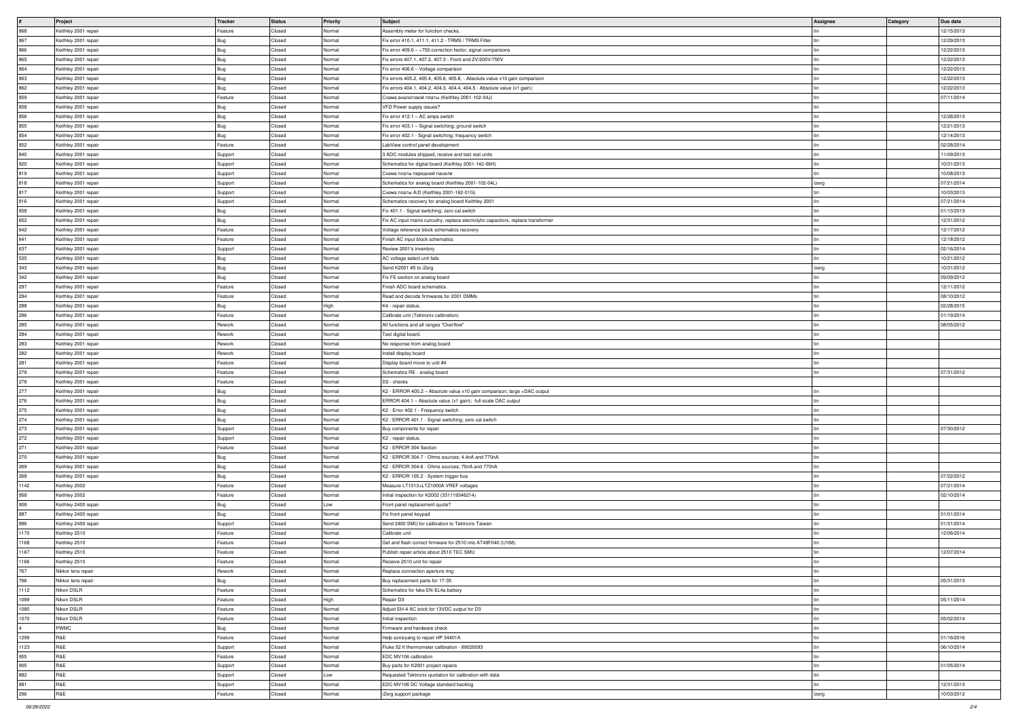|      | Project              | Tracker    | <b>Status</b> | <b>Priority</b> | Subject                                                                            | Assignee | <b>Category</b> | Due date   |
|------|----------------------|------------|---------------|-----------------|------------------------------------------------------------------------------------|----------|-----------------|------------|
|      |                      |            |               |                 |                                                                                    |          |                 |            |
| 868  | Keithley 2001 repair | Feature    | Closed        | Normal          | Assembly meter for function checks.                                                |          |                 | 12/15/2013 |
| 867  | Keithley 2001 repair | Bug        | Closed        | Normal          | Fix error 410.1, 411.1, 411.2 - TRMS / TRMS Filter                                 |          |                 | 12/29/2013 |
| 866  | Keithley 2001 repair | Bug        | Closed        | Normal          | Fix error 409.6 $-$ ÷750 correction factor; signal comparisons                     |          |                 | 12/22/2013 |
| 865  | Keithley 2001 repair | Bug        | Closed        | Normal          | Fix errors 407.1, 407.2, 407.3 - Front end 2V/200V/750V                            |          |                 | 12/22/2013 |
| 864  | Keithley 2001 repair | Bug        | Closed        | Normal          | Fix error 406.6 - Voltage comparison                                               |          |                 | 12/22/2013 |
| 863  | Keithley 2001 repair | Bug        | Closed        | Normal          | Fix errors 405.2, 405.4, 405.6, 405.8, - Absolute value x10 gain comparison        |          |                 | 12/22/2013 |
| 862  | Keithley 2001 repair |            | Closed        | Normal          | Fix errors 404.1, 404.2, 404.3, 404.4, 404.5 - Absolute value (x1 gain);           |          |                 | 12/22/2013 |
|      |                      | Bug        |               |                 |                                                                                    |          |                 |            |
| 859  | Keithley 2001 repair | Feature    | Closed        | Normal          | Схема аналоговой платы (Keithley 2001-102-04J)                                     |          |                 | 07/11/2014 |
| 858  | Keithley 2001 repair | Bug        | Closed        | Normal          | VFD Power supply issues?                                                           |          |                 |            |
| 856  | Keithley 2001 repair | Bug        | Closed        | Normal          | Fix error 412.1 - AC amps switch                                                   |          |                 | 12/28/2013 |
| 855  | Keithley 2001 repair | Bug        | Closed        | Normal          | Fix error 403.1 - Signal switching; ground switch                                  |          |                 | 12/21/2013 |
| 854  | Keithley 2001 repair | Bug        | Closed        | Normal          | Fix error 402.1 - Signal switching; frequency switch                               |          |                 | 12/14/2013 |
| 852  | Keithley 2001 repair | Feature    | Closed        | Normal          | LabView control panel development                                                  |          |                 | 02/28/2014 |
|      |                      |            |               |                 |                                                                                    |          |                 |            |
| 840  | Keithley 2001 repair | Support    | Closed        | Normal          | 3 ADC modules shipped, receive and test rest units                                 |          |                 | 11/09/2013 |
| 820  | Keithley 2001 repair | Support    | Closed        | Normal          | Schematics for digital board (Keithley 2001-142-06H)                               |          |                 | 10/31/2013 |
| 819  | Keithley 2001 repair | Support    | Closed        | Normal          | Схема платы передней панели                                                        |          |                 | 10/08/2013 |
| 818  | Keithley 2001 repair | Support    | Closed        | Normal          | Schematics for analog board (Keithley 2001-102-04L)                                | Izerg    |                 | 07/21/2014 |
| 817  | Keithley 2001 repair | Support    | Closed        | Normal          | Cxeмa платы A/D (Keithley 2001-162-01G)                                            |          |                 | 10/03/2013 |
| 816  | Keithley 2001 repair | Support    | Closed        | Normal          | Schematics recovery for analog board Keithley 2001                                 |          |                 | 07/21/2014 |
| 658  | Keithley 2001 repair | Bug        | Closed        | Normal          | Fix 401.1 - Signal switching; zero cal switch                                      |          |                 | 01/13/2013 |
| 652  |                      |            | Closed        | Normal          |                                                                                    |          |                 | 12/31/2012 |
|      | Keithley 2001 repair | Bug        |               |                 | Fix AC input mains curcuitry, replace electrolytic capacitors, replace transformer |          |                 |            |
| 642  | Keithley 2001 repair | Feature    | Closed        | Normal          | Voltage reference block schematics recovery                                        |          |                 | 12/17/2012 |
| 641  | Keithley 2001 repair | Feature    | Closed        | Normal          | Finish AC input block schematics                                                   |          |                 | 12/18/2012 |
| 637  | Keithley 2001 repair | Support    | Closed        | Normal          | Review 2001's inventory                                                            |          |                 | 02/16/2014 |
| 535  | Keithley 2001 repair | Bug        | Closed        | Normal          | AC voltage select unit fails                                                       |          |                 | 10/21/2012 |
| 343  | Keithley 2001 repair | Bug        | Closed        | Normal          | Send K2001 #5 to iZerg                                                             | Izerg    |                 | 10/31/2012 |
| 342  | Keithley 2001 repair | Bug        | Closed        | Normal          | Fix FE section on analog board                                                     |          |                 | 09/09/2012 |
|      |                      |            |               |                 |                                                                                    |          |                 |            |
| 297  | Keithley 2001 repair | Feature    | Closed        | Normal          | Finish ADC board schematics.                                                       |          |                 | 12/11/2012 |
| 294  | Keithley 2001 repair | Feature    | Closed        | Normal          | Read and decode firmwares for 2001 DMMs                                            |          |                 | 08/10/2012 |
| 288  | Keithley 2001 repair | Bug        | Closed        | High            | K4 - repair status.                                                                |          |                 | 02/28/2015 |
| 286  | Keithley 2001 repair | Feature    | Closed        | Normal          | Calibrate unit (Tektronix calibration)                                             |          |                 | 01/19/2014 |
| 285  | Keithley 2001 repair | Rework     | Closed        | Normal          | All functions and all ranges "Overflow"                                            |          |                 | 08/05/2012 |
| 284  | Keithley 2001 repair | Rework     | Closed        | Normal          | Test digital board.                                                                |          |                 |            |
|      |                      |            |               |                 |                                                                                    |          |                 |            |
| 283  | Keithley 2001 repair | Rework     | Closed        | Normal          | No response from analog board                                                      |          |                 |            |
| 282  | Keithley 2001 repair | Rework     | Closed        | Normal          | Install display board                                                              |          |                 |            |
| 281  | Keithley 2001 repair | Feature    | Closed        | Normal          | Display board move to unit #4                                                      |          |                 |            |
| 279  | Keithley 2001 repair | Feature    | Closed        | Normal          | Schematics RE - analog board                                                       |          |                 | 07/31/2012 |
| 278  | Keithley 2001 repair | Feature    | Closed        | Normal          | D <sub>2</sub> - checks                                                            |          |                 |            |
| 277  | Keithley 2001 repair | Bug        | Closed        | Normal          | K2 - ERROR 405.2 - Absolute value x10 gain comparison; large +DAC output           |          |                 |            |
|      |                      |            | Closed        | Normal          |                                                                                    |          |                 |            |
| 276  | Keithley 2001 repair | Bug        |               |                 | ERROR 404.1 - Absolute value (x1 gain); -full-scale DAC output                     |          |                 |            |
| 275  | Keithley 2001 repair | Bug        | Closed        | Normal          | K2 - Error 402.1 - Frequency switch                                                |          |                 |            |
| 274  | Keithley 2001 repair | Bug        | Closed        | Normal          | K2: ERROR 401.1 - Signal switching; zero cal switch                                |          |                 |            |
| 273  | Keithley 2001 repair | Support    | Closed        | Normal          | Buy components for repair                                                          |          |                 | 07/30/2012 |
| 272  | Keithley 2001 repair | Support    | Closed        | Normal          | K2 - repair status.                                                                |          |                 |            |
| 271  | Keithley 2001 repair | Feature    | Closed        | Normal          | K2 : ERROR 304 Section                                                             |          |                 |            |
| 270  | Keithley 2001 repair | Bug        | Closed        | Normal          | K2: ERROR 304.7 - Ohms sources; 4.4nA and 770nA                                    |          |                 |            |
|      |                      |            | Closed        | Normal          | K2: ERROR 304.6 - Ohms sources; 70nA and 770nA                                     |          |                 |            |
| 269  | Keithley 2001 repair | Bug        |               |                 |                                                                                    |          |                 |            |
| 268  | Keithley 2001 repair | Bug        | Closed        | Normal          | K2: ERROR 105.2 - System trigger bus                                               |          |                 | 07/22/2012 |
| 1142 | Keithley 2002        | Feature    | Closed        | Normal          | Measure LT1013+LTZ1000A VREF voltages                                              |          |                 | 07/21/2014 |
| 958  | Keithley 2002        | Feature    | Closed        | Normal          | Initial inspection for K2002 (331119346214)                                        |          |                 | 02/10/2014 |
| 908  | Keithley 2400 repair | Bug        | Closed        | Low             | Front panel replacement quote?                                                     |          |                 |            |
| 887  | Keithley 2400 repair | <b>Bug</b> | Closed        | Normal          | Fix front panel keypad                                                             |          |                 | 01/01/2014 |
| 886  | Keithley 2400 repair | Support    | Closed        | Normal          | Send 2400 SMU for calibration to Tektronix Taiwan                                  |          |                 | 01/31/2014 |
| 1170 | Keithley 2510        | Feature    | Closed        | Normal          | Calibrate unit                                                                     |          |                 | 12/06/2014 |
|      |                      |            |               |                 |                                                                                    |          |                 |            |
| 1168 | Keithley 2510        | Feature    | Closed        | Normal          | Get and flash correct firmware for 2510 into AT49F040 (U168)                       |          |                 |            |
| 1167 | Keithley 2510        | Feature    | Closed        | Normal          | Publish repair article about 2510 TEC SMU                                          |          |                 | 12/07/2014 |
| 1166 | Keithley 2510        | Feature    | Closed        | Normal          | Receive 2510 unit for repair                                                       |          |                 |            |
| 767  | Nikkor lens repair   | Rework     | Closed        | Normal          | Replace connection aperture ring                                                   |          |                 |            |
| 766  | Nikkor lens repair   | Bug        | Closed        | Normal          | Buy replacement parts for 17-35                                                    |          |                 | 05/31/2013 |
| 1112 | Nikon DSLR           | Feature    | Closed        | Normal          | Schematics for fake EN-EL4a battery                                                |          |                 |            |
| 1089 | Nikon DSLR           | Feature    | Closed        | High            | Repair D3                                                                          |          |                 | 05/11/2014 |
|      |                      |            |               |                 |                                                                                    |          |                 |            |
| 1080 | Nikon DSLR           | Feature    | Closed        | Normal          | Adjust EH-4 AC brick for 13VDC output for D3                                       |          |                 |            |
| 1070 | Nikon DSLR           | Feature    | Closed        | Normal          | Initial inspection                                                                 |          |                 | 05/02/2014 |
|      | <b>PWMC</b>          | Bug        | Closed        | Normal          | Firmware and hardware check                                                        |          |                 |            |
| 1299 | R&E                  | Feature    | Closed        | Normal          | Help sonicyang to repair HP 34401A                                                 |          |                 | 01/16/2016 |
| 1123 | R&E                  | Support    | Closed        | Normal          | Fluke 52 II thermometer calibration - 89020093                                     |          |                 | 06/10/2014 |
| 955  | R&E                  | Feature    | Closed        | Normal          | EDC MV106 calibration                                                              |          |                 |            |
|      | R&E                  |            |               |                 |                                                                                    |          |                 | 01/05/2014 |
| 905  |                      | Support    | Closed        | Normal          | Buy parts for K2001 project repairs                                                |          |                 |            |
| 882  | R&E                  | Support    | Closed        | Low             | Requested Tektronix quotation for calibration with data                            |          |                 |            |
| 881  | R&E                  | Support    | Closed        | Normal          | EDC MV106 DC Voltage standard backlog                                              |          |                 | 12/31/2013 |
| 296  | R&E                  | Feature    | Closed        | Normal          | iZerg support package                                                              | Izerg    |                 | 10/03/2012 |
|      |                      |            |               |                 |                                                                                    |          |                 |            |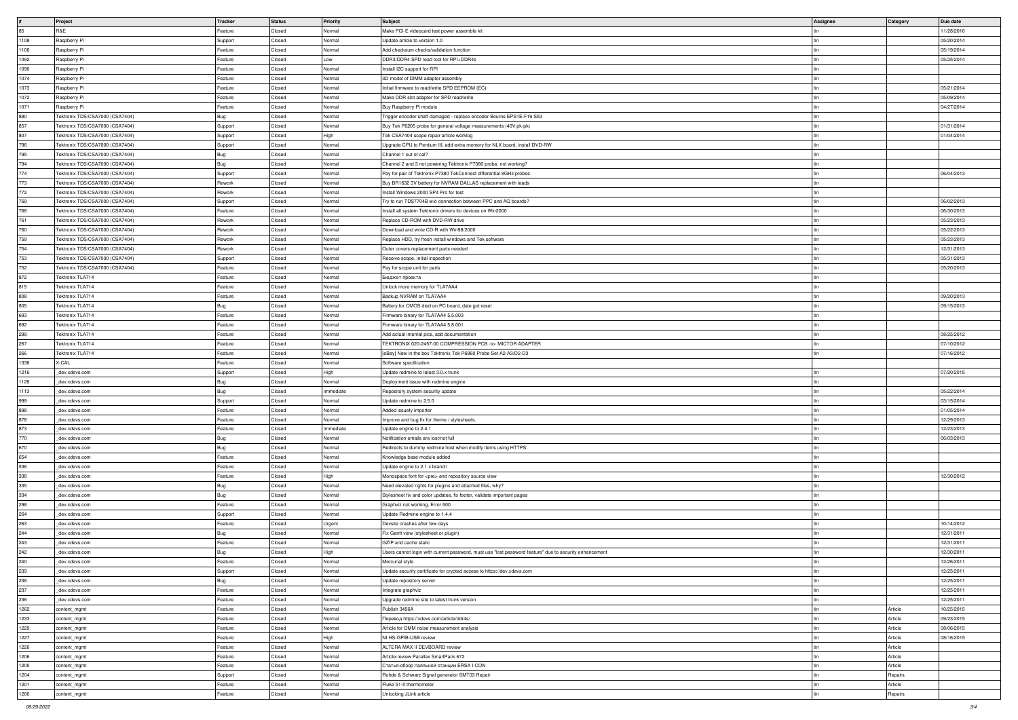|      | Project                         | Tracker | Status | <b>Priority</b> | Subject                                                                                                | Assignee | <b>Category</b> | Due date   |
|------|---------------------------------|---------|--------|-----------------|--------------------------------------------------------------------------------------------------------|----------|-----------------|------------|
| 85   | R&E                             | Feature | Closed | Normal          | Make PCI-E videocard test power assemble kit                                                           |          |                 | 11/28/2010 |
| 1108 | Raspberry Pi                    | Support | Closed | Normal          | Update article to version 1.0                                                                          |          |                 | 05/20/2014 |
| 1106 | Raspberry Pi                    | Feature | Closed | Normal          | Add checksum checks/validation function                                                                |          |                 | 05/19/2014 |
| 1092 | Raspberry Pi                    | Feature | Closed | Low             | DDR3/DDR4 SPD read tool for RPI+DDR4s                                                                  |          |                 | 05/25/2014 |
|      |                                 |         |        |                 |                                                                                                        |          |                 |            |
| 1090 | Raspberry Pi                    | Feature | Closed | Normal          | Install I2C support for RPI                                                                            |          |                 |            |
| 1074 | Raspberry Pi                    | Feature | Closed | Normal          | 3D model of DIMM adapter assembly                                                                      |          |                 |            |
| 1073 | Raspberry Pi                    | Feature | Closed | Normal          | Initial firmware to read/write SPD EEPROM (EC)                                                         |          |                 | 05/21/2014 |
| 1072 | Raspberry Pi                    | Feature | Closed | Normal          | Make DDR slot adapter for SPD read/write                                                               |          |                 | 05/09/2014 |
| 1071 | Raspberry Pi                    | Feature | Closed | Normal          | Buy Raspberry Pi module                                                                                |          |                 | 04/27/2014 |
| 880  | Tektronix TDS/CSA7000 (CSA7404) | Bug     | Closed | Normal          | Trigger encoder shaft damaged - replace encoder Bourns EPS1E-F19 S53                                   |          |                 |            |
|      |                                 |         |        |                 |                                                                                                        |          |                 |            |
| 857  | Tektronix TDS/CSA7000 (CSA7404) | Support | Closed | Normal          | Buy Tek P6205 probe for general voltage measurements (40V pk-pk)                                       |          |                 | 01/31/2014 |
| 807  | Tektronix TDS/CSA7000 (CSA7404) | Support | Closed | High            | Tek CSA7404 scope repair article worklog                                                               |          |                 | 01/04/2014 |
| 796  | Tektronix TDS/CSA7000 (CSA7404) | Support | Closed | Normal          | Upgrade CPU to Pentium III, add extra memory for NLX board, install DVD-RW                             |          |                 |            |
| 795  | Tektronix TDS/CSA7000 (CSA7404) | Bug     | Closed | Normal          | Channel 1 out of cal?                                                                                  |          |                 |            |
| 794  | Tektronix TDS/CSA7000 (CSA7404) | Bug     | Closed | Normal          | Channel 2 and 3 not powering Tektronix P7380 probe, not working?                                       |          |                 |            |
|      |                                 |         | Closed | Normal          | Pay for pair of Tektronix P7380 TekConnect differential 8GHz probes                                    |          |                 | 06/04/2013 |
| 774  | Tektronix TDS/CSA7000 (CSA7404) | Support |        |                 |                                                                                                        |          |                 |            |
| 773  | Tektronix TDS/CSA7000 (CSA7404) | Rework  | Closed | Normal          | Buy BR1632 3V battery for NVRAM DALLAS replacement with leads                                          |          |                 |            |
| 772  | Tektronix TDS/CSA7000 (CSA7404) | Rework  | Closed | Normal          | Install Windows 2000 SP4 Pro for test                                                                  |          |                 |            |
| 769  | Tektronix TDS/CSA7000 (CSA7404) | Support | Closed | Normal          | Try to run TDS7704B w/o connection between PPC and AQ boards?                                          |          |                 | 06/02/2013 |
| 768  | Tektronix TDS/CSA7000 (CSA7404) | Feature | Closed | Normal          | Install all system Tektronix drivers for devices on Win2000                                            |          |                 | 06/30/2013 |
| 761  | Tektronix TDS/CSA7000 (CSA7404) | Rework  | Closed | Normal          | Replace CD-ROM with DVD-RW drive                                                                       |          |                 | 05/23/2013 |
|      |                                 |         |        |                 |                                                                                                        |          |                 |            |
| 760  | Tektronix TDS/CSA7000 (CSA7404) | Rework  | Closed | Normal          | Download and write CD-R with Win98/2000                                                                |          |                 | 05/22/2013 |
| 759  | Tektronix TDS/CSA7000 (CSA7404) | Rework  | Closed | Normal          | Replace HDD, try fresh install windows and Tek software                                                |          |                 | 05/23/2013 |
| 754  | Tektronix TDS/CSA7000 (CSA7404) | Rework  | Closed | Normal          | Outer covers replacement parts needed                                                                  |          |                 | 12/31/2013 |
| 753  | Tektronix TDS/CSA7000 (CSA7404) | Support | Closed | Normal          | Receive scope, initial inspection                                                                      |          |                 | 05/31/2013 |
| 752  | Tektronix TDS/CSA7000 (CSA7404) | Feature | Closed | Normal          | Pay for scope unit for parts                                                                           |          |                 | 05/20/2013 |
| 872  | Tektronix TLA714                | Feature | Closed | Normal          | Бюджет проекта                                                                                         |          |                 |            |
|      |                                 |         |        |                 |                                                                                                        |          |                 |            |
| 815  | Tektronix TLA714                | Feature | Closed | Normal          | Unlock more memory for TLA7AA4                                                                         |          |                 |            |
| 808  | Tektronix TLA714                | Feature | Closed | Normal          | Backup NVRAM on TLA7AA4                                                                                |          |                 | 09/20/2013 |
| 805  | Tektronix TLA714                | Bug     | Closed | Normal          | Battery for CMOS died on PC board, date got reset                                                      |          |                 | 09/15/2013 |
| 693  | Tektronix TLA714                | Feature | Closed | Normal          | Firmware binary for TLA7AA4 5.5.003                                                                    |          |                 |            |
| 692  | Tektronix TLA714                | Feature | Closed | Normal          | Firmware binary for TLA7AA4 5.8.001                                                                    |          |                 |            |
|      |                                 |         |        |                 |                                                                                                        |          |                 |            |
| 299  | Tektronix TLA714                | Feature | Closed | Normal          | Add actual internal pics, add documentation                                                            |          |                 | 08/25/2012 |
| 267  | Tektronix TLA714                | Feature | Closed | Normal          | TEKTRONIX 020-2457-00 COMPRESSION PCB -to- MICTOR ADAPTER                                              |          |                 | 07/10/2012 |
| 266  | Tektronix TLA714                | Feature | Closed | Normal          | [eBay] New in the box Tektronix Tek P6860 Probe Set A2-A3/D2-D3                                        |          |                 | 07/16/2012 |
| 1336 | X-CAL                           | Feature | Closed | Normal          | Software specification                                                                                 |          |                 |            |
| 1216 | _dev.xdevs.com                  | Support | Closed | High            | Update redmine to latest 3.0.x trunk                                                                   |          |                 | 07/20/2015 |
|      |                                 |         | Closed | Normal          |                                                                                                        |          |                 |            |
| 1126 | _dev.xdevs.com                  | Bug     |        |                 | Deployment issue with redmine engine                                                                   |          |                 |            |
| 1113 | _dev.xdevs.com                  | Bug     | Closed | Immediate       | Repository system security update                                                                      |          |                 | 05/22/2014 |
| 999  | _dev.xdevs.com                  | Support | Closed | Normal          | Update redmine to 2.5.0                                                                                |          |                 | 03/15/2014 |
| 898  | dev.xdevs.com                   | Feature | Closed | Normal          | Added issuefy importer                                                                                 |          |                 | 01/05/2014 |
| 878  | _dev.xdevs.com                  | Feature | Closed | Normal          | Improve and bug fix for theme / stylesheets.                                                           |          |                 | 12/29/2013 |
| 873  | dev.xdevs.com                   | Feature | Closed | Immediate       | Update engine to 2.4.1                                                                                 |          |                 | 12/23/2013 |
| 770  | _dev.xdevs.com                  |         | Closed | Normal          | Notification emails are lost/not full                                                                  |          |                 | 06/03/2013 |
|      |                                 | Bug     |        |                 |                                                                                                        |          |                 |            |
| 670  | _dev.xdevs.com                  | Bug     | Closed | Normal          | Redirects to dummy redmine host when modify items using HTTPS                                          |          |                 |            |
| 654  | _dev.xdevs.com                  | Feature | Closed | Normal          | Knowledge base module added                                                                            |          |                 |            |
| 536  | _dev.xdevs.com                  | Feature | Closed | Normal          | Update engine to 2.1.x branch                                                                          |          |                 |            |
| 338  | _dev.xdevs.com                  | Feature | Closed | High            | Monospace font for <pre> and repository source view</pre>                                              |          |                 | 12/30/2012 |
| 335  | dev.xdevs.com                   | Bug     | Closed | Normal          | Need elevated rights for plugins and attached files, why?                                              |          |                 |            |
| 334  |                                 |         | Closed | Normal          |                                                                                                        |          |                 |            |
|      | _dev.xdevs.com                  | Bug     |        |                 | Stylesheet fix and color updates, fix footer, validate important pages                                 |          |                 |            |
| 298  | dev.xdevs.com                   | Feature | Closed | Normal          | Graphviz not working, Error 500                                                                        |          |                 |            |
| 264  | _dev.xdevs.com                  | Support | Closed | Normal          | Update Redmine engine to 1.4.4                                                                         |          |                 |            |
| 263  | _dev.xdevs.com                  | Feature | Closed | Urgent          | Devsite crashes after few days                                                                         |          |                 | 10/14/2012 |
| 244  | dev.xdevs.com                   | Bug     | Closed | Normal          | Fix Gantt view (stylesheet or plugin)                                                                  |          |                 | 12/31/2011 |
| 243  | _dev.xdevs.com                  | Feature | Closed | Normal          | GZIP and cache static                                                                                  |          |                 | 12/31/2011 |
|      |                                 |         |        |                 |                                                                                                        |          |                 |            |
| 242  | _dev.xdevs.com                  | Bug     | Closed | High            | Users cannot login with current password, must use "lost password feature" due to security enhancement |          |                 | 12/30/2011 |
| 240  | dev.xdevs.com                   | Feature | Closed | Normal          | Mercurial style                                                                                        |          |                 | 12/26/2011 |
| 239  | dev.xdevs.com                   | Support | Closed | Normal          | Update security certificate for crypted access to https://dev.xdevs.com                                |          |                 | 12/25/2011 |
| 238  | dev.xdevs.com                   | Bug     | Closed | Normal          | Update repository server                                                                               |          |                 | 12/25/2011 |
| 237  | _dev.xdevs.com                  | Feature | Closed | Normal          | Integrate graphviz                                                                                     |          |                 | 12/25/2011 |
| 236  | dev.xdevs.com                   | Feature | Closed | Normal          | Upgrade redmine site to latest trunk version                                                           |          |                 | 12/25/2011 |
|      |                                 |         |        |                 |                                                                                                        |          |                 |            |
| 1262 | content_mgmt                    | Feature | Closed | Normal          | Publish 3456A                                                                                          |          | Article         | 10/25/2015 |
| 1233 | content_mgmt                    | Feature | Closed | Normal          | Перевод https://xdevs.com/article/ddr4s/                                                               |          | Article         | 09/23/2015 |
| 1229 | content_mgmt                    | Feature | Closed | Normal          | Article for DMM noise measurement analysis                                                             |          | Article         | 08/06/2015 |
| 1227 | content_mgmt                    | Feature | Closed | High            | NI HS-GPIB-USB review                                                                                  |          | Article         | 08/16/2015 |
| 1226 | content_mgmt                    | Feature | Closed | Normal          | ALTERA MAX II DEVBOARD review                                                                          |          | Article         |            |
| 1206 | content_mgmt                    | Feature | Closed | Normal          | Article-review Parallax SmartPack 672                                                                  |          | Article         |            |
|      |                                 |         |        |                 |                                                                                                        |          |                 |            |
| 1205 | content_mgmt                    | Feature | Closed | Normal          | Статья-обзор паяльной станции ERSA I-CON                                                               |          | Article         |            |
| 1204 | content_mgmt                    | Support | Closed | Normal          | Rohde & Schwarz Signal generator SMT03 Repair                                                          |          | Repairs         |            |
| 1201 | content_mgmt                    | Feature | Closed | Normal          | Fluke 51-II thermometer                                                                                |          | Article         |            |
| 1200 | content_mgmt                    | Feature | Closed | Normal          | Unlocking JLink article                                                                                |          | Repairs         |            |
|      |                                 |         |        |                 |                                                                                                        |          |                 |            |